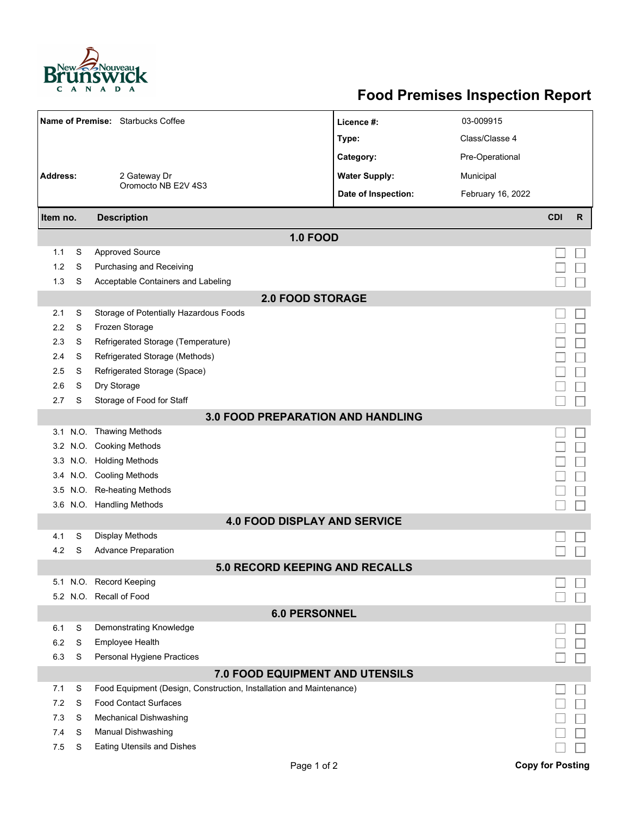

## **Food Premises Inspection Report**

| Name of Premise: Starbucks Coffee        |   |                                                                     | Licence #:           | 03-009915         |                         |              |  |  |  |  |
|------------------------------------------|---|---------------------------------------------------------------------|----------------------|-------------------|-------------------------|--------------|--|--|--|--|
|                                          |   |                                                                     | Type:                | Class/Classe 4    |                         |              |  |  |  |  |
|                                          |   | 2 Gateway Dr                                                        | Category:            | Pre-Operational   |                         |              |  |  |  |  |
| <b>Address:</b>                          |   |                                                                     | <b>Water Supply:</b> | Municipal         |                         |              |  |  |  |  |
|                                          |   | Oromocto NB E2V 4S3                                                 | Date of Inspection:  | February 16, 2022 |                         |              |  |  |  |  |
|                                          |   |                                                                     |                      |                   |                         |              |  |  |  |  |
| Item no.                                 |   | <b>Description</b>                                                  |                      |                   | <b>CDI</b>              | $\mathsf{R}$ |  |  |  |  |
|                                          |   | <b>1.0 FOOD</b>                                                     |                      |                   |                         |              |  |  |  |  |
| 1.1                                      | S | <b>Approved Source</b>                                              |                      |                   |                         |              |  |  |  |  |
| 1.2                                      | S | Purchasing and Receiving                                            |                      |                   |                         |              |  |  |  |  |
| 1.3                                      | S | Acceptable Containers and Labeling                                  |                      |                   |                         |              |  |  |  |  |
| <b>2.0 FOOD STORAGE</b>                  |   |                                                                     |                      |                   |                         |              |  |  |  |  |
| 2.1                                      | S | Storage of Potentially Hazardous Foods                              |                      |                   |                         |              |  |  |  |  |
| 2.2                                      | S | Frozen Storage                                                      |                      |                   |                         |              |  |  |  |  |
| 2.3                                      | S | Refrigerated Storage (Temperature)                                  |                      |                   |                         |              |  |  |  |  |
| 2.4                                      | S | Refrigerated Storage (Methods)                                      |                      |                   |                         |              |  |  |  |  |
| 2.5                                      | S | Refrigerated Storage (Space)                                        |                      |                   |                         |              |  |  |  |  |
| 2.6                                      | S | Dry Storage                                                         |                      |                   |                         |              |  |  |  |  |
| 2.7                                      | S | Storage of Food for Staff                                           |                      |                   |                         |              |  |  |  |  |
| <b>3.0 FOOD PREPARATION AND HANDLING</b> |   |                                                                     |                      |                   |                         |              |  |  |  |  |
|                                          |   | 3.1 N.O. Thawing Methods                                            |                      |                   |                         |              |  |  |  |  |
|                                          |   | 3.2 N.O. Cooking Methods                                            |                      |                   |                         |              |  |  |  |  |
|                                          |   | 3.3 N.O. Holding Methods                                            |                      |                   |                         |              |  |  |  |  |
|                                          |   | 3.4 N.O. Cooling Methods                                            |                      |                   |                         |              |  |  |  |  |
| 3.5                                      |   | N.O. Re-heating Methods<br>3.6 N.O. Handling Methods                |                      |                   |                         |              |  |  |  |  |
|                                          |   |                                                                     |                      |                   |                         |              |  |  |  |  |
| 4.1                                      | S | <b>4.0 FOOD DISPLAY AND SERVICE</b><br><b>Display Methods</b>       |                      |                   |                         |              |  |  |  |  |
| 4.2                                      | S | <b>Advance Preparation</b>                                          |                      |                   |                         |              |  |  |  |  |
|                                          |   | <b>5.0 RECORD KEEPING AND RECALLS</b>                               |                      |                   |                         |              |  |  |  |  |
|                                          |   | 5.1 N.O. Record Keeping                                             |                      |                   |                         |              |  |  |  |  |
|                                          |   | 5.2 N.O. Recall of Food                                             |                      |                   |                         |              |  |  |  |  |
|                                          |   | <b>6.0 PERSONNEL</b>                                                |                      |                   |                         |              |  |  |  |  |
| 6.1                                      | S | Demonstrating Knowledge                                             |                      |                   |                         |              |  |  |  |  |
| 6.2                                      | S | Employee Health                                                     |                      |                   |                         |              |  |  |  |  |
| 6.3                                      | S | Personal Hygiene Practices                                          |                      |                   |                         |              |  |  |  |  |
|                                          |   | 7.0 FOOD EQUIPMENT AND UTENSILS                                     |                      |                   |                         |              |  |  |  |  |
| 7.1                                      | S | Food Equipment (Design, Construction, Installation and Maintenance) |                      |                   |                         |              |  |  |  |  |
| 7.2                                      | S | <b>Food Contact Surfaces</b>                                        |                      |                   |                         |              |  |  |  |  |
| 7.3                                      | S | <b>Mechanical Dishwashing</b>                                       |                      |                   |                         |              |  |  |  |  |
| 7.4                                      | S | Manual Dishwashing                                                  |                      |                   |                         |              |  |  |  |  |
| 7.5                                      | S | Eating Utensils and Dishes                                          |                      |                   |                         |              |  |  |  |  |
|                                          |   | Page 1 of 2                                                         |                      |                   | <b>Copy for Posting</b> |              |  |  |  |  |